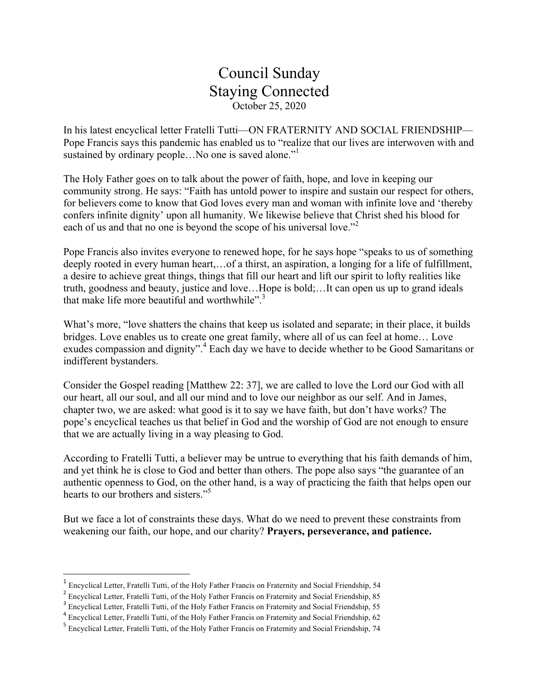## Council Sunday Staying Connected October 25, 2020

In his latest encyclical letter Fratelli Tutti—ON FRATERNITY AND SOCIAL FRIENDSHIP— Pope Francis says this pandemic has enabled us to "realize that our lives are interwoven with and sustained by ordinary people...No one is saved alone."

The Holy Father goes on to talk about the power of faith, hope, and love in keeping our community strong. He says: "Faith has untold power to inspire and sustain our respect for others, for believers come to know that God loves every man and woman with infinite love and 'thereby confers infinite dignity' upon all humanity. We likewise believe that Christ shed his blood for each of us and that no one is beyond the scope of his universal love."<sup>2</sup>

Pope Francis also invites everyone to renewed hope, for he says hope "speaks to us of something deeply rooted in every human heart,…of a thirst, an aspiration, a longing for a life of fulfillment, a desire to achieve great things, things that fill our heart and lift our spirit to lofty realities like truth, goodness and beauty, justice and love…Hope is bold;…It can open us up to grand ideals that make life more beautiful and worthwhile". $3$ 

What's more, "love shatters the chains that keep us isolated and separate; in their place, it builds bridges. Love enables us to create one great family, where all of us can feel at home… Love exudes compassion and dignity".<sup>4</sup> Each day we have to decide whether to be Good Samaritans or indifferent bystanders.

Consider the Gospel reading [Matthew 22: 37], we are called to love the Lord our God with all our heart, all our soul, and all our mind and to love our neighbor as our self. And in James, chapter two, we are asked: what good is it to say we have faith, but don't have works? The pope's encyclical teaches us that belief in God and the worship of God are not enough to ensure that we are actually living in a way pleasing to God.

According to Fratelli Tutti, a believer may be untrue to everything that his faith demands of him, and yet think he is close to God and better than others. The pope also says "the guarantee of an authentic openness to God, on the other hand, is a way of practicing the faith that helps open our hearts to our brothers and sisters." 5

But we face a lot of constraints these days. What do we need to prevent these constraints from weakening our faith, our hope, and our charity? **Prayers, perseverance, and patience.**

<u> 1989 - Johann Stein, mars et al. 1989 - Anna ann an t-Anna ann an t-Anna ann an t-Anna ann an t-Anna ann an t-</u>

<sup>1</sup> Encyclical Letter, Fratelli Tutti, of the Holy Father Francis on Fraternity and Social Friendship, 54

<sup>&</sup>lt;sup>2</sup> Encyclical Letter, Fratelli Tutti, of the Holy Father Francis on Fraternity and Social Friendship, 85

<sup>&</sup>lt;sup>3</sup> Encyclical Letter, Fratelli Tutti, of the Holy Father Francis on Fraternity and Social Friendship, 55

<sup>&</sup>lt;sup>4</sup> Encyclical Letter, Fratelli Tutti, of the Holy Father Francis on Fraternity and Social Friendship, 62

<sup>&</sup>lt;sup>5</sup> Encyclical Letter, Fratelli Tutti, of the Holy Father Francis on Fraternity and Social Friendship, 74